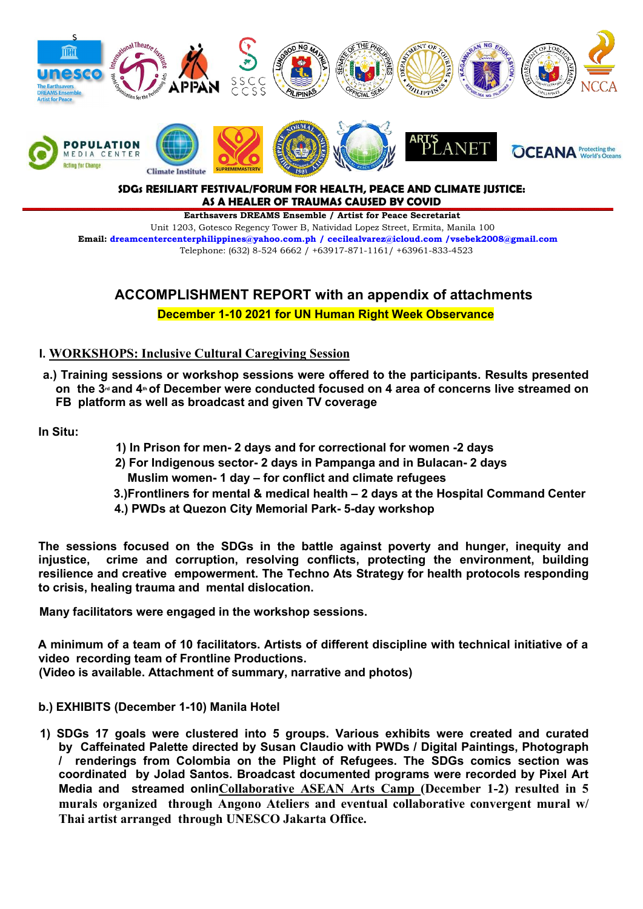

# **SDGs RESILIART FESTIVAL/FORUM FOR HEALTH, PEACE AND CLIMATE JUSTICE: AS A HEALER OF TRAUMAS CAUSED BY COVID**

**Earthsavers DREAMS Ensemble / Artist for Peace Secretariat** Unit 1203, Gotesco Regency Tower B, Natividad Lopez Street, Ermita, Manila 100 **Email: [dreamcentercenterphilippines@yahoo.com.ph](mailto:dreamcentercenterphilippines@yahoo.com.ph) / [cecilealvarez@icloud.com](mailto:cecilealvarez@icloud.com) /vsebek2008@gmail.com** Telephone: (632) 8-524 6662 / +63917-871-1161/ +63961-833-4523

# **ACCOMPLISHMENT REPORT with an appendix of attachments**

**December 1-10 2021 for UN Human Right Week Observance**

# **I. WORKSHOPS: Inclusive Cultural Caregiving Session**

**a.) Training sessions or workshop sessions were offered to the participants. Results presented** on the 3<sup>rd</sup> and 4<sup>th</sup> of December were conducted focused on 4 area of concerns live streamed on **FB platform as well as broadcast and given TV coverage**

**In Situ:**

- **1) In Prison for men- 2 days and for correctional for women -2 days**
- **2) For Indigenous sector- 2 days in Pampanga and in Bulacan- 2 days Muslim women- 1 day – for conflict and climate refugees**
- **3.)Frontliners for mental & medical health – 2 days at the Hospital Command Center**
- **4.) PWDs at Quezon City Memorial Park- 5-day workshop**

**The sessions focused on the SDGs in the battle against poverty and hunger, inequity and injustice, crime and corruption, resolving conflicts, protecting the environment, building resilience and creative empowerment. The Techno Ats Strategy for health protocols responding to crisis, healing trauma and mental dislocation.**

**Many facilitators were engaged in the workshop sessions.**

**A minimum of a team of 10 facilitators. Artists of different discipline with technical initiative of a video recording team of Frontline Productions.**

**(Video is available. Attachment of summary, narrative and photos)**

- **b.) EXHIBITS (December 1-10) Manila Hotel**
- **1) SDGs 17 goals were clustered into 5groups. Various exhibits were created and curated by Caffeinated Palette directed by Susan Claudio with PWDs / Digital Paintings, Photograph / renderings from Colombia on the Plight of Refugees. The SDGs comics section was coordinated by Jolad Santos. Broadcast documented programs were recorded by Pixel Art Media and streamed onlinCollaborative ASEAN Arts Camp (December 1-2) resulted in 5 murals organized through Angono Ateliers and eventual collaborative convergent mural w/ Thai artist arranged through UNESCO Jakarta Office.**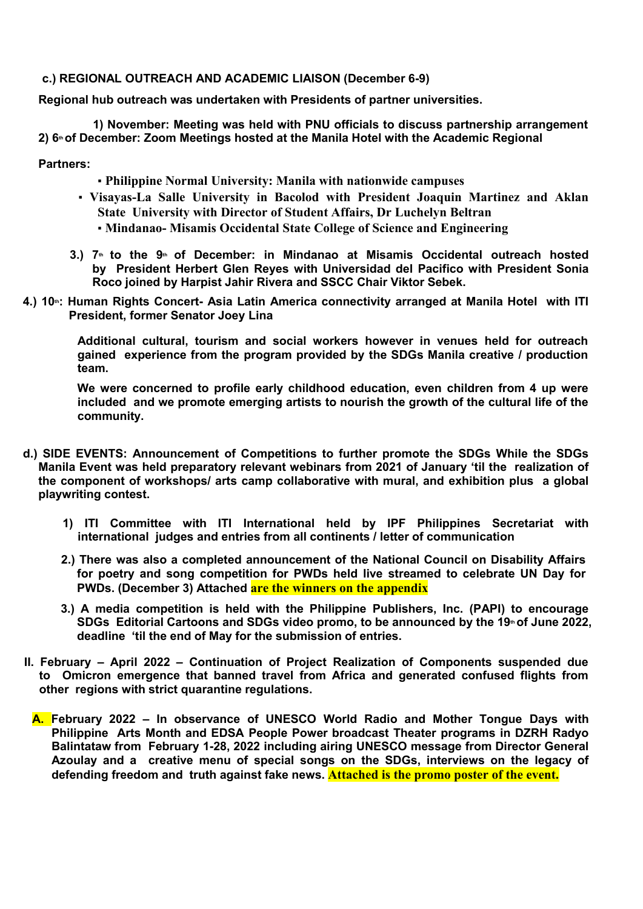#### **c.) REGIONAL OUTREACH AND ACADEMIC LIAISON (December 6-9)**

**Regional hub outreach was undertaken with Presidents of partner universities.**

**1) November: Meeting was held with PNU officials to discuss partnership arrangement 2) 6th of December: Zoom Meetings hosted at the Manila Hotel with the Academic Regional**

#### **Partners:**

- **Philippine Normal University: Manila with nationwide campuses**
- **Visayas-La Salle University in Bacolod with President Joaquin Martinez and Aklan State University with Director of Student Affairs, Dr Luchelyn Beltran** ▪ **Mindanao- Misamis Occidental State College of Science and Engineering**
- **3.) 7th to the 9th of December: in Mindanao at Misamis Occidental outreach hosted by President Herbert Glen Reyes with Universidad del Pacifico with President Sonia Roco joined by Harpist Jahir Rivera and SSCC Chair Viktor Sebek.**
- **4.) 10th: Human Rights Concert- Asia Latin America connectivity arranged at Manila Hotel with ITI President, former Senator Joey Lina**

**Additional cultural, tourism and social workers however in venues held for outreach gained experience from the program provided by the SDGs Manila creative / production team.**

**We were concerned to profile early childhood education, even children from 4 up were included and we promote emerging artists to nourish the growth of the cultural life of the community.**

- **d.) SIDE EVENTS: Announcement of Competitions to further promote the SDGs While the SDGs Manila Event was held preparatory relevant webinars from 2021 of January 'til the realization of the component of workshops/ arts camp collaborative with mural, and exhibition plus a global playwriting contest.**
	- **1) ITI Committee with ITI International held by IPF Philippines Secretariat with international judges and entries from all continents / letter of communication**
	- **2.) There was also a completed announcement of the National Council on Disability Affairs for poetry and song competition for PWDs held live streamed to celebrate UN Day for PWDs. (December 3) Attached are the winners on the appendix**
	- **3.) A media competition is held with the Philippine Publishers, Inc. (PAPI) to encourage SDGs Editorial Cartoons and SDGs video promo, to be announced by the 19th of June 2022, deadline 'til the end of May for the submission of entries.**
- **II. February – April 2022 – Continuation of Project Realization of Components suspended due to Omicron emergence that banned travel from Africa and generated confused flights from other regions with strict quarantine regulations.**
- **A. February 2022 – In observance of UNESCO World Radio and Mother Tongue Days with Philippine Arts Month and EDSA People Power broadcast Theater programs in DZRH Radyo Balintataw from February 1-28, 2022 including airing UNESCO message from Director General Azoulay and acreative menu of special songs on the SDGs, interviews on the legacy of defending freedom and truth against fake news. Attached is the promo poster of the event.**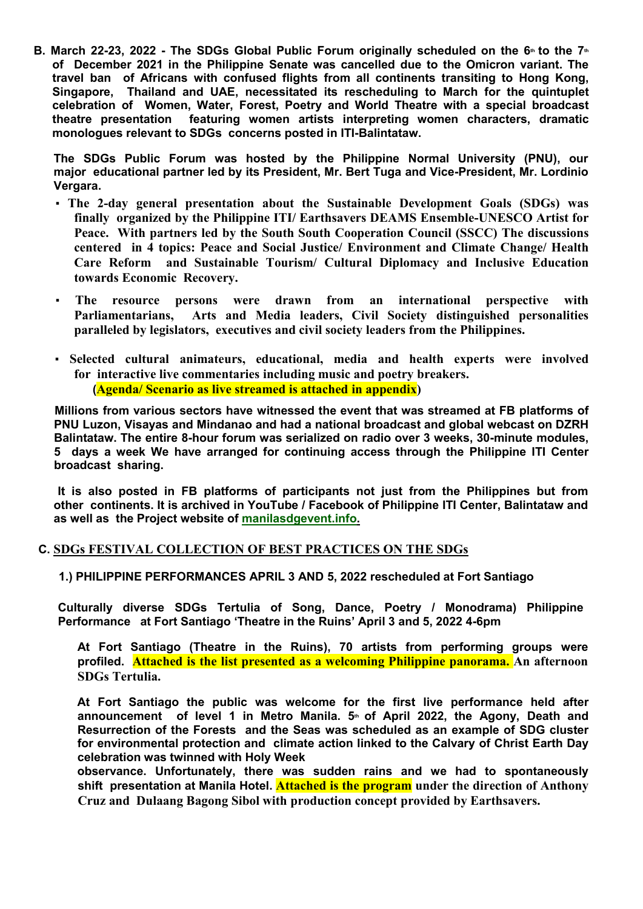B. March 22-23, 2022 - The SDGs Global Public Forum originally scheduled on the  $6<sup>th</sup>$  to the  $7<sup>th</sup>$ **of December 2021 in the Philippine Senate was cancelled due to the Omicron variant. The** Singapore, Thailand and UAE, necessitated its rescheduling to March for the quintuplet **celebration of Women,Water, Forest, Poetry and World Theatre with aspecial broadcast theatre presentation featuring women artists interpreting women characters, dramatic monologues relevant to SDGs concerns posted in ITI-Balintataw.**

**The SDGs Public Forum was hosted by the Philippine Normal University (PNU), our major educational partner led by its President, Mr. Bert Tuga and Vice-President, Mr. Lordinio Vergara.**

- **The 2-day general presentation about the Sustainable Development Goals (SDGs) was finally organized by the Philippine ITI/ Earthsavers DEAMS Ensemble-UNESCO Artist for Peace. With partners led by the South South Cooperation Council (SSCC) The discussions centered in 4 topics: Peace and Social Justice/ Environment and Climate Change/ Health Care Reform and Sustainable Tourism/ Cultural Diplomacy and Inclusive Education towards Economic Recovery.**
- **The resource persons were drawn from an international perspective with Parliamentarians, Arts and Media leaders, Civil Society distinguished personalities paralleled by legislators, executives and civil society leaders from the Philippines.**
- **Selected cultural animateurs, educational, media and health experts were involved for interactive live commentaries including music and poetry breakers. (Agenda/ Scenario as live streamed is attached in appendix)**

**Millions from various sectors have witnessed the event that was streamed at FB platforms of PNU Luzon, Visayas and Mindanao and had a national broadcast and global webcast on DZRH Balintataw. The entire 8-hour forum was serialized on radio over 3 weeks, 30-minute modules, 5 days a week We have arranged for continuing access through the Philippine ITI Center broadcast sharing.**

**It is also posted in FB platforms of participants not just from the Philippines but from other continents. It is archived in YouTube /Facebook of Philippine ITI Center, Balintataw and as well as the Project website of manilasdgevent.info.**

# **C. SDGs FESTIVAL COLLECTION OF BEST PRACTICES ON THE SDGs**

# **1.) PHILIPPINE PERFORMANCES APRIL 3 AND 5, 2022 rescheduled at Fort Santiago**

**Culturally diverse SDGs Tertulia of Song, Dance, Poetry / Monodrama) Philippine Performance at Fort Santiago 'Theatre in the Ruins' April 3 and 5, 2022 4-6pm**

**At Fort Santiago (Theatre in the Ruins),70 artists from performing groups were profiled. Attached is the list presented as a welcoming Philippine panorama. An afternoon SDGs Tertulia.**

**At Fort Santiago the public was welcome for the first live performance held after announcement of level 1 in Metro Manila. 5th of April 2022, the Agony, Death and Resurrection of the Forests and the Seas was scheduled as an example of SDG cluster for environmental protection and climate action linked to the Calvary of Christ Earth Day celebration was twinned with Holy Week**

**observance. Unfortunately, there was sudden rains and we had to spontaneously shift presentation at Manila Hotel. Attached is the program under the direction of Anthony Cruz and Dulaang Bagong Sibol with production concept provided by Earthsavers.**